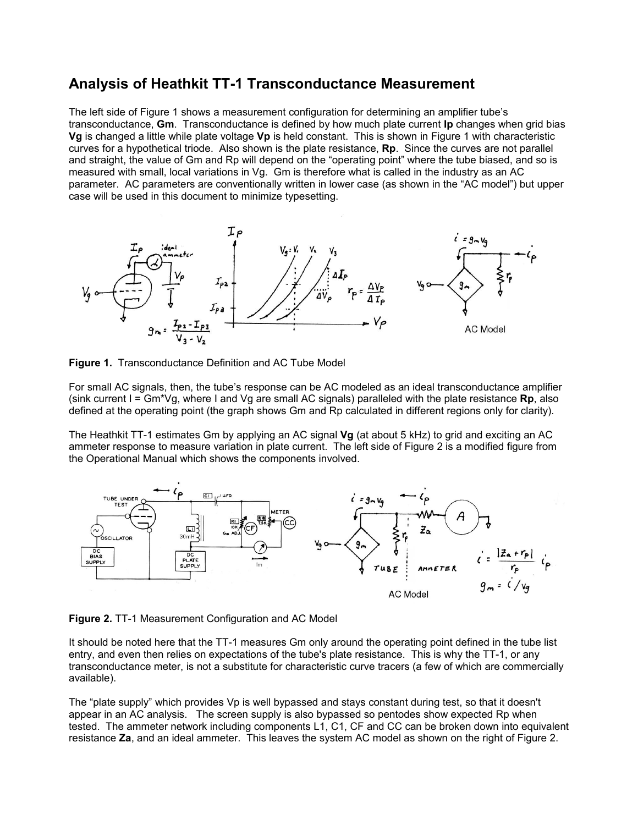## **Analysis of Heathkit TT-1 Transconductance Measurement**

The left side of Figure 1 shows a measurement configuration for determining an amplifier tube's transconductance, **Gm**. Transconductance is defined by how much plate current **Ip** changes when grid bias **Vg** is changed a little while plate voltage **Vp** is held constant. This is shown in Figure 1 with characteristic curves for a hypothetical triode. Also shown is the plate resistance, **Rp**. Since the curves are not parallel and straight, the value of Gm and Rp will depend on the "operating point" where the tube biased, and so is measured with small, local variations in Vg. Gm is therefore what is called in the industry as an AC parameter. AC parameters are conventionally written in lower case (as shown in the "AC model") but upper case will be used in this document to minimize typesetting.



**Figure 1.** Transconductance Definition and AC Tube Model

For small AC signals, then, the tube's response can be AC modeled as an ideal transconductance amplifier (sink current I = Gm\*Vg, where I and Vg are small AC signals) paralleled with the plate resistance **Rp**, also defined at the operating point (the graph shows Gm and Rp calculated in different regions only for clarity).

The Heathkit TT-1 estimates Gm by applying an AC signal **Vg** (at about 5 kHz) to grid and exciting an AC ammeter response to measure variation in plate current. The left side of Figure 2 is a modified figure from the Operational Manual which shows the components involved.



**Figure 2.** TT-1 Measurement Configuration and AC Model

It should be noted here that the TT-1 measures Gm only around the operating point defined in the tube list entry, and even then relies on expectations of the tube's plate resistance. This is why the TT-1, or any transconductance meter, is not a substitute for characteristic curve tracers (a few of which are commercially available).

The "plate supply" which provides Vp is well bypassed and stays constant during test, so that it doesn't appear in an AC analysis. The screen supply is also bypassed so pentodes show expected Rp when tested. The ammeter network including components L1, C1, CF and CC can be broken down into equivalent resistance **Za**, and an ideal ammeter. This leaves the system AC model as shown on the right of Figure 2.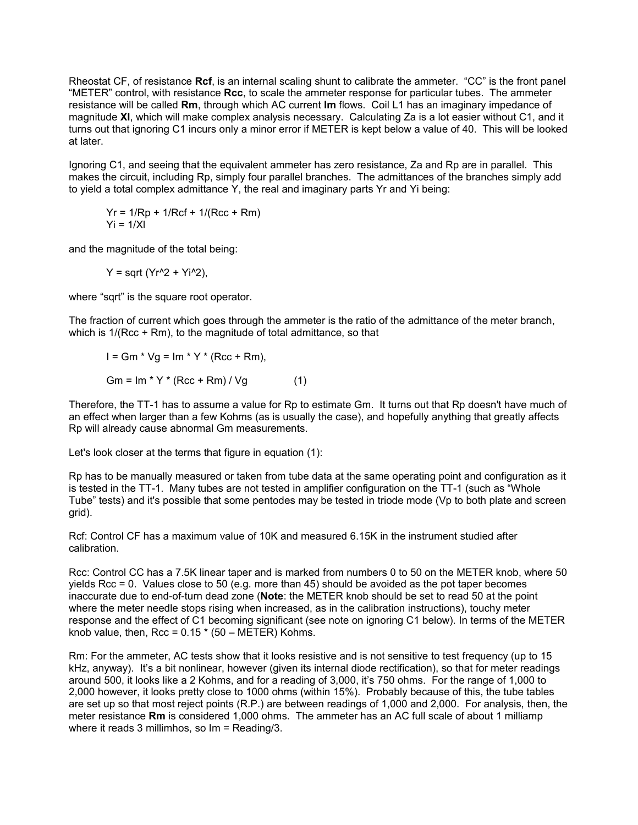Rheostat CF, of resistance **Rcf**, is an internal scaling shunt to calibrate the ammeter. "CC" is the front panel "METER" control, with resistance **Rcc**, to scale the ammeter response for particular tubes. The ammeter resistance will be called **Rm**, through which AC current **Im** flows. Coil L1 has an imaginary impedance of magnitude **Xl**, which will make complex analysis necessary. Calculating Za is a lot easier without C1, and it turns out that ignoring C1 incurs only a minor error if METER is kept below a value of 40. This will be looked at later.

Ignoring C1, and seeing that the equivalent ammeter has zero resistance, Za and Rp are in parallel. This makes the circuit, including Rp, simply four parallel branches. The admittances of the branches simply add to yield a total complex admittance Y, the real and imaginary parts Yr and Yi being:

 $Yr = 1/Rp + 1/RCf + 1/(Rcc + Rm)$  $Yi = 1/Xl$ 

and the magnitude of the total being:

 $Y =$  sqrt ( $Yr^2 + Yi^2$ ),

where "sqrt" is the square root operator.

The fraction of current which goes through the ammeter is the ratio of the admittance of the meter branch, which is 1/(Rcc + Rm), to the magnitude of total admittance, so that

$$
I = Gm * Vg = Im * Y * (Rcc + Rm),
$$

 $Gm = Im * Y * (Rcc + Rm) / Vg$  (1)

Therefore, the TT-1 has to assume a value for Rp to estimate Gm. It turns out that Rp doesn't have much of an effect when larger than a few Kohms (as is usually the case), and hopefully anything that greatly affects Rp will already cause abnormal Gm measurements.

Let's look closer at the terms that figure in equation (1):

Rp has to be manually measured or taken from tube data at the same operating point and configuration as it is tested in the TT-1. Many tubes are not tested in amplifier configuration on the TT-1 (such as "Whole Tube" tests) and it's possible that some pentodes may be tested in triode mode (Vp to both plate and screen grid).

Rcf: Control CF has a maximum value of 10K and measured 6.15K in the instrument studied after calibration.

Rcc: Control CC has a 7.5K linear taper and is marked from numbers 0 to 50 on the METER knob, where 50 yields Rcc = 0. Values close to 50 (e.g. more than 45) should be avoided as the pot taper becomes inaccurate due to end-of-turn dead zone (**Note**: the METER knob should be set to read 50 at the point where the meter needle stops rising when increased, as in the calibration instructions), touchy meter response and the effect of C1 becoming significant (see note on ignoring C1 below). In terms of the METER knob value, then, Rcc =  $0.15 * (50 - \text{METER})$  Kohms.

Rm: For the ammeter, AC tests show that it looks resistive and is not sensitive to test frequency (up to 15 kHz, anyway). It's a bit nonlinear, however (given its internal diode rectification), so that for meter readings around 500, it looks like a 2 Kohms, and for a reading of 3,000, it's 750 ohms. For the range of 1,000 to 2,000 however, it looks pretty close to 1000 ohms (within 15%). Probably because of this, the tube tables are set up so that most reject points (R.P.) are between readings of 1,000 and 2,000. For analysis, then, the meter resistance **Rm** is considered 1,000 ohms. The ammeter has an AC full scale of about 1 milliamp where it reads 3 millimhos, so Im = Reading/3.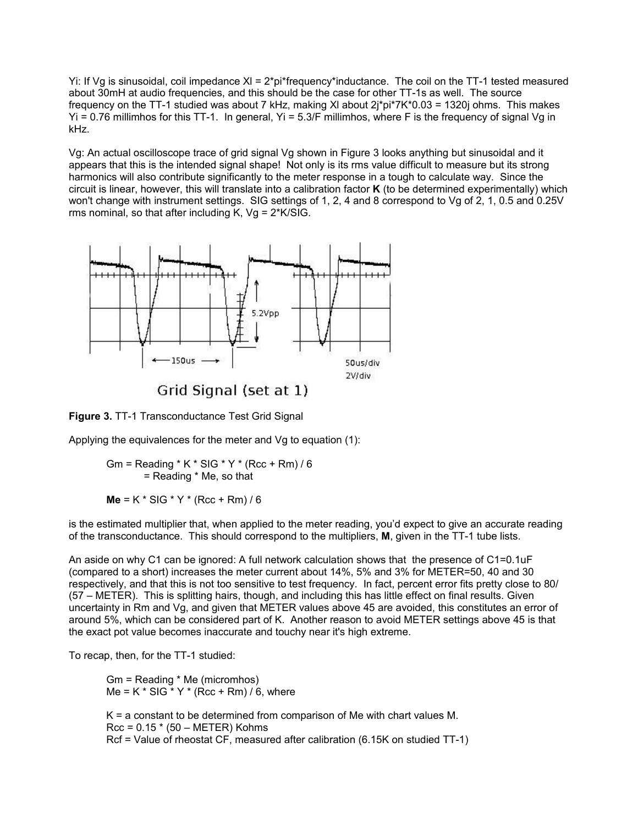Yi: If Vg is sinusoidal, coil impedance Xl = 2\*pi\*frequency\*inductance. The coil on the TT-1 tested measured about 30mH at audio frequencies, and this should be the case for other TT-1s as well. The source frequency on the TT-1 studied was about 7 kHz, making XI about  $2j^*pi^*7K^*0.03 = 1320j$  ohms. This makes Yi = 0.76 millimhos for this TT-1. In general, Yi = 5.3/F millimhos, where F is the frequency of signal Vg in kHz.

Vg: An actual oscilloscope trace of grid signal Vg shown in Figure 3 looks anything but sinusoidal and it appears that this is the intended signal shape! Not only is its rms value difficult to measure but its strong harmonics will also contribute significantly to the meter response in a tough to calculate way. Since the circuit is linear, however, this will translate into a calibration factor **K** (to be determined experimentally) which won't change with instrument settings. SIG settings of 1, 2, 4 and 8 correspond to Vg of 2, 1, 0.5 and 0.25V rms nominal, so that after including K,  $Vg = 2*K/SIG$ .



Grid Signal (set at 1)

**Figure 3.** TT-1 Transconductance Test Grid Signal

Applying the equivalences for the meter and Vg to equation (1):

Gm = Reading  $*$  K  $*$  SIG  $*$  Y  $*$  (Rcc + Rm) / 6 = Reading \* Me, so that

**Me** = K \* SIG \* Y \* (Rcc + Rm) / 6

is the estimated multiplier that, when applied to the meter reading, you'd expect to give an accurate reading of the transconductance. This should correspond to the multipliers, **M**, given in the TT-1 tube lists.

An aside on why C1 can be ignored: A full network calculation shows that the presence of C1=0.1uF (compared to a short) increases the meter current about 14%, 5% and 3% for METER=50, 40 and 30 respectively, and that this is not too sensitive to test frequency. In fact, percent error fits pretty close to 80/ (57 – METER). This is splitting hairs, though, and including this has little effect on final results. Given uncertainty in Rm and Vg, and given that METER values above 45 are avoided, this constitutes an error of around 5%, which can be considered part of K. Another reason to avoid METER settings above 45 is that the exact pot value becomes inaccurate and touchy near it's high extreme.

To recap, then, for the TT-1 studied:

Gm = Reading \* Me (micromhos) Me = K  $*$  SIG  $*$  Y  $*$  (Rcc + Rm) / 6, where

K = a constant to be determined from comparison of Me with chart values M.  $Rcc = 0.15 * (50 - METER)$  Kohms Rcf = Value of rheostat CF, measured after calibration (6.15K on studied TT-1)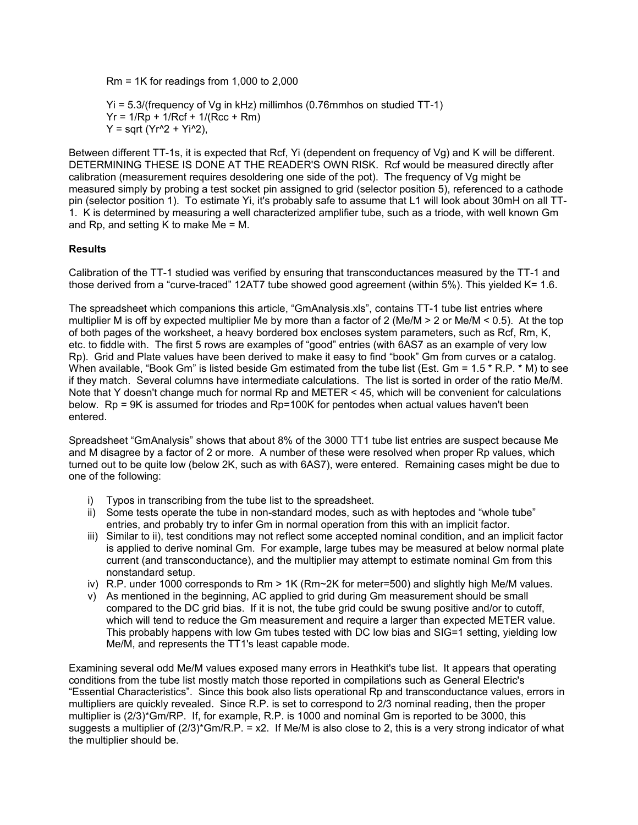$Rm = 1K$  for readings from 1,000 to 2,000

Yi = 5.3/(frequency of Vg in kHz) millimhos (0.76mmhos on studied TT-1)  $Yr = 1/Rp + 1/RCf + 1/(Rcc + Rm)$  $Y = \text{sqrt } (Yr^{2} + Yi^{2}).$ 

Between different TT-1s, it is expected that Rcf, Yi (dependent on frequency of Vg) and K will be different. DETERMINING THESE IS DONE AT THE READER'S OWN RISK. Rcf would be measured directly after calibration (measurement requires desoldering one side of the pot). The frequency of Vg might be measured simply by probing a test socket pin assigned to grid (selector position 5), referenced to a cathode pin (selector position 1). To estimate Yi, it's probably safe to assume that L1 will look about 30mH on all TT-1. K is determined by measuring a well characterized amplifier tube, such as a triode, with well known Gm and Rp, and setting K to make Me = M.

## **Results**

Calibration of the TT-1 studied was verified by ensuring that transconductances measured by the TT-1 and those derived from a "curve-traced" 12AT7 tube showed good agreement (within 5%). This yielded K= 1.6.

The spreadsheet which companions this article, "GmAnalysis.xls", contains TT-1 tube list entries where multiplier M is off by expected multiplier Me by more than a factor of 2 (Me/M > 2 or Me/M < 0.5). At the top of both pages of the worksheet, a heavy bordered box encloses system parameters, such as Rcf, Rm, K, etc. to fiddle with. The first 5 rows are examples of "good" entries (with 6AS7 as an example of very low Rp). Grid and Plate values have been derived to make it easy to find "book" Gm from curves or a catalog. When available, "Book Gm" is listed beside Gm estimated from the tube list (Est. Gm = 1.5 \* R.P. \* M) to see if they match. Several columns have intermediate calculations. The list is sorted in order of the ratio Me/M. Note that Y doesn't change much for normal Rp and METER < 45, which will be convenient for calculations below. Rp = 9K is assumed for triodes and Rp=100K for pentodes when actual values haven't been entered.

Spreadsheet "GmAnalysis" shows that about 8% of the 3000 TT1 tube list entries are suspect because Me and M disagree by a factor of 2 or more. A number of these were resolved when proper Rp values, which turned out to be quite low (below 2K, such as with 6AS7), were entered. Remaining cases might be due to one of the following:

- i) Typos in transcribing from the tube list to the spreadsheet.
- ii) Some tests operate the tube in non-standard modes, such as with heptodes and "whole tube" entries, and probably try to infer Gm in normal operation from this with an implicit factor.
- iii) Similar to ii), test conditions may not reflect some accepted nominal condition, and an implicit factor is applied to derive nominal Gm. For example, large tubes may be measured at below normal plate current (and transconductance), and the multiplier may attempt to estimate nominal Gm from this nonstandard setup.
- iv) R.P. under 1000 corresponds to Rm > 1K (Rm~2K for meter=500) and slightly high Me/M values.
- v) As mentioned in the beginning, AC applied to grid during Gm measurement should be small compared to the DC grid bias. If it is not, the tube grid could be swung positive and/or to cutoff, which will tend to reduce the Gm measurement and require a larger than expected METER value. This probably happens with low Gm tubes tested with DC low bias and SIG=1 setting, yielding low Me/M, and represents the TT1's least capable mode.

Examining several odd Me/M values exposed many errors in Heathkit's tube list. It appears that operating conditions from the tube list mostly match those reported in compilations such as General Electric's "Essential Characteristics". Since this book also lists operational Rp and transconductance values, errors in multipliers are quickly revealed. Since R.P. is set to correspond to 2/3 nominal reading, then the proper multiplier is (2/3)\*Gm/RP. If, for example, R.P. is 1000 and nominal Gm is reported to be 3000, this suggests a multiplier of  $(2/3)$ <sup>\*</sup>Gm/R.P. = x2. If Me/M is also close to 2, this is a very strong indicator of what the multiplier should be.